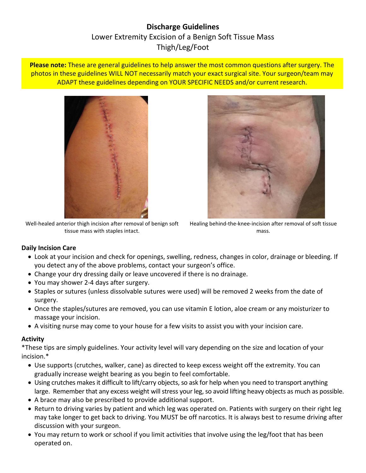# **Discharge Guidelines** Lower Extremity Excision of a Benign Soft Tissue Mass Thigh/Leg/Foot

**Please note:** These are general guidelines to help answer the most common questions after surgery. The photos in these guidelines WILL NOT necessarily match your exact surgical site. Your surgeon/team may ADAPT these guidelines depending on YOUR SPECIFIC NEEDS and/or current research.



Well-healed anterior thigh incision after removal of benign soft tissue mass with staples intact.



Healing behind-the-knee-incision after removal of soft tissue mass.

#### **Daily Incision Care**

- Look at your incision and check for openings, swelling, redness, changes in color, drainage or bleeding. If you detect any of the above problems, contact your surgeon's office.
- Change your dry dressing daily or leave uncovered if there is no drainage.
- You may shower 2-4 days after surgery.
- Staples or sutures (unless dissolvable sutures were used) will be removed 2 weeks from the date of surgery.
- Once the staples/sutures are removed, you can use vitamin E lotion, aloe cream or any moisturizer to massage your incision.
- A visiting nurse may come to your house for a few visits to assist you with your incision care.

#### **Activity**

\*These tips are simply guidelines. Your activity level will vary depending on the size and location of your incision.\*

- Use supports (crutches, walker, cane) as directed to keep excess weight off the extremity. You can gradually increase weight bearing as you begin to feel comfortable.
- Using crutches makes it difficult to lift/carry objects, so ask for help when you need to transport anything large. Remember that any excess weight will stress your leg, so avoid lifting heavy objects as much as possible.
- A brace may also be prescribed to provide additional support.
- Return to driving varies by patient and which leg was operated on. Patients with surgery on their right leg may take longer to get back to driving. You MUST be off narcotics. It is always best to resume driving after discussion with your surgeon.
- You may return to work or school if you limit activities that involve using the leg/foot that has been operated on.